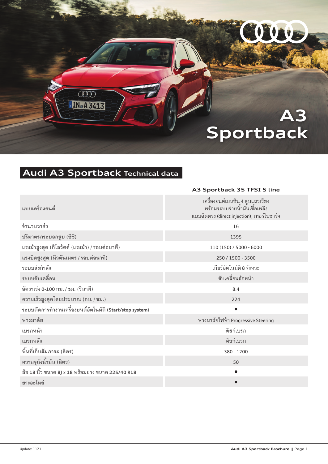# **A3 Sportback**

COOP

## **Audi A3 Sportback Technical data**

 $\overline{000}$ **IN**®A 3413

|                                                         | A3 Sportback 35 TFSI S line                                                                                    |
|---------------------------------------------------------|----------------------------------------------------------------------------------------------------------------|
| แบบเครื่องยนต์                                          | เครื่องยนต์เบนซิน 4 สูบแถวเรียง<br>พร้อมระบบจ่ายน้ำมันเชื้อเพลิง<br>แบบฉีดตรง (direct injection), เทอร์โบชาร์จ |
| จำนวนวาล์ว                                              | 16                                                                                                             |
| ปริมาตรกระบอกสูบ (ซีซี)                                 | 1395                                                                                                           |
| แรงม้าสูงสุด (กิโลวัตต์ (แรงม้า) / รอบต่อนาที)          | 110 (150) / 5000 - 6000                                                                                        |
| แรงบิดสูงสุด (นิวตันเมตร / รอบต่อนาที)                  | 250 / 1500 - 3500                                                                                              |
| ระบบส่งกำลัง                                            | เกียร์อัตโนมัติ 8 จังหวะ                                                                                       |
| ระบบขับเคลื่อน                                          | ขับเคลื่อนล้อหน้า                                                                                              |
| อัตราเร่ง 0-100 กม. / ชม. (วินาที)                      | 8.4                                                                                                            |
| ความเร็วสูงสุดโดยประมาณ (กม. / ชม.)                     | 224                                                                                                            |
| ระบบตัดการทำงานเครื่องยนต์อัตโนมัติ (Start/stop system) | $\bullet$                                                                                                      |
| พวงมาลัย                                                | พวงมาลัยไฟฟ้า Progressive Steering                                                                             |
| เบรกหน้า                                                | ดิสก์เบรก                                                                                                      |
| เบรกหลัง                                                | ดิสก์เบรก                                                                                                      |
| พื้นที่เก็บสัมภาระ (ลิตร)                               | 380 - 1200                                                                                                     |
| ความจุถังน้ำมัน (ลิตร)                                  | 50                                                                                                             |
| ล้อ 18 นิ้ว ขนาด 8J x 18 พร้อมยาง ขนาด 225/40 R18       | $\bullet$                                                                                                      |
| ยางอะไหล่                                               |                                                                                                                |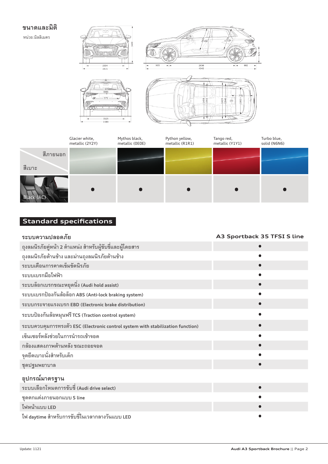#### **ขนาดและมิติ**

หน่วย:มิลลิเมตร



|                    | Glacier white,<br>metallic (2Y2Y) | Mythos black,<br>metallic (OEOE) | Python yellow,<br>metallic (R1R1) | Tango red,<br>metallic (Y1Y1) | Turbo blue,<br>solid (N6N6) |
|--------------------|-----------------------------------|----------------------------------|-----------------------------------|-------------------------------|-----------------------------|
| สีภายนอก<br>สีเบาะ |                                   |                                  |                                   |                               |                             |
| Black (AC)         |                                   |                                  |                                   |                               |                             |

## **Standard specifications**

| ระบบความปลอดภัย                                                                 | A3 Sportback 35 TFSI S line |
|---------------------------------------------------------------------------------|-----------------------------|
| ถุงลมนิรภัยคู่หน้า 2 ตำแหน่ง สำหรับผู้ขับขี่และผู้โดยสาร                        |                             |
| ถุงลมนิรภัยด้านข้าง และม่านถุงลมนิรภัยด้านข้าง                                  |                             |
| ระบบเตือนการคาดเข็มขัดนิรภัย                                                    |                             |
| ระบบเบรกมือไฟฟ้า                                                                |                             |
| ระบบล็อกเบรกขณะหยุดนิ่ง (Audi hold assist)                                      |                             |
| ระบบเบรกป้องกันล้อล็อก ABS (Anti-lock braking system)                           |                             |
| ระบบกระจายแรงเบรก EBD (Electronic brake distribution)                           |                             |
| ระบบป้องกันล้อหมุนฟรี TCS (Traction control system)                             |                             |
| ระบบควบคุมการทรงตัว ESC (Electronic control system with stabilization function) |                             |
| เซ็นเซอร์หลังช่วยในการนำรถเข้าจอด                                               |                             |
| กล้องแสดงภาพด้านหลัง ขณะถอยจอด                                                  |                             |
| จุดยึดเบาะนั่งสำหรับเด็ก                                                        |                             |
| ชุดปฐมพยาบาล                                                                    |                             |
| อุปกรณ์มาตรฐาน                                                                  |                             |
| ระบบเลือกโหมดการขับขี่ (Audi drive select)                                      |                             |
| ชุดตกแต่งภายนอกแบบ S line                                                       |                             |
| ไฟหน้าแบบ LED                                                                   |                             |
| ไฟ daytime สำหรับการขับขี่ในเวลากลางวันแบบ LED                                  |                             |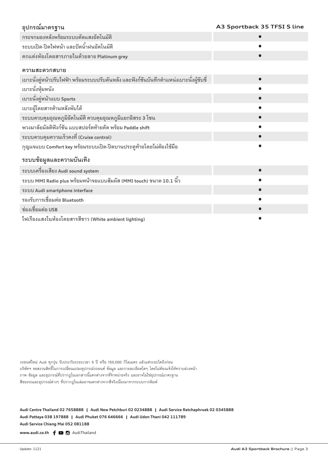| อุปกรณ์มาตรฐาน                                                                          | A3 Sportback 35 TFSI S line |
|-----------------------------------------------------------------------------------------|-----------------------------|
| กระจกมองหลังพร้อมระบบตัดแสงอัตโนมัติ                                                    |                             |
| ระบบเปิด-ปิดไฟหน้า และปัดน้ำฝนอัตโนมัติ                                                 |                             |
| ตกแต่งห้องโดยสารภายในด้วยลาย Platinum grey                                              |                             |
| ความสะดวกสบาย                                                                           |                             |
| เบาะนั่งคู่หน้าปรับไฟฟ้า พร้อมระบบปรับดันหลัง และฟังก์ชันบันทึกตำแหน่งเบาะนั่งผู้ขับขี่ |                             |
| เบาะนั่งหุ้มหนัง                                                                        |                             |
| เบาะนั่งคู่หน้าแบบ Sports                                                               |                             |
| เบาะผู้โดยสารด้านหลังพับได้                                                             |                             |
| ระบบควบคุมอุณหภูมิอัตโนมัติ ควบคุมอุณหภูมิแยกอิสระ 3 โซน                                |                             |
| พวงมาลัยมัลติฟังก์ชัน แบบสปอร์ตท้ายตัด พร้อม Paddle shift                               |                             |
| ระบบควบคุมความเร็วคงที่ (Cruise control)                                                |                             |
| กุญแจแบบ Comfort key พร้อมระบบเปิด-ปิดบานประตูท้ายโดยไม่ต้องใช้มือ                      |                             |
| ระบบข้อมูลและความบันเทิง                                                                |                             |
| ระบบเครื่องเสียง Audi sound system                                                      |                             |
| ระบบ MMI Radio plus พร้อมหน้าจอแบบสัมผัส (MMI touch) ขนาด 10.1 นิ้ว                     |                             |
| ระบบ Audi smartphone interface                                                          |                             |
| รองรับการเชื่อมต่อ Bluetooth                                                            |                             |
| ช่องเชื่อมต่อ USB                                                                       |                             |
| ไฟเรื่องแสงในห้องโดยสารสีขาว (White ambient lighting)                                   |                             |

รถยนต์ใหม่ Audi ทุกรุ่น รับประกันระยะเวลา 5 ปี หรือ 150,000 กิโลเมตร แล้วแต่ระยะใดถึงก่อน บริษัทฯ ขอสงวนสิทธิ์ในการเปลี่ยนแปลงอุปกรณ์รถยนต์ ข้อมูล และรายละเอียดใดๆ โดยไม่ต้องแจ้งให้ทราบล่วงหน้า ภาพ ข้อมูล และอุปกรณ์ที่ปรากฏในเอกสารนี้แตกต่างจากที่จำหน่ายจริง และอาจไม่ใช่อุปกรณ์มาตรฐาน สีของรถและอุปกรณ์ต่างๆ ที่ปรากฎในเล่มอาจแตกต่างจากสีจริงเนื่องมาจากระบบการพิมพ์

Audi Centre Thailand 02 7658888 Audi New Petchburi 02 0234888 Audi Service Ratchaphruek 02 0345888 **Audi Pattaya 038 197888 ฅ Audi Phuket 076 646666 ฅ Audi Udon Thani 042 111789 Audi Service Chiang Mai 052 081188**

www.audi.co.th  $f$   $\Box$   $\Box$  AudiThailand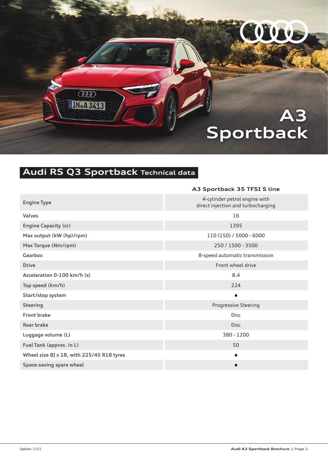# **A3 Sportback**

COOP

## **Audi RS Q3 Sportback Technical data**

 $\overline{000}$ **IN**®A 3413

|                                           | A3 Sportback 35 TFSI S line                                         |
|-------------------------------------------|---------------------------------------------------------------------|
| <b>Engine Type</b>                        | 4-cylinder petrol engine with<br>direct injection and turbocharging |
| <b>Valves</b>                             | 16                                                                  |
| <b>Engine Capacity (cc)</b>               | 1395                                                                |
| Max output (kW (hp)/rpm)                  | 110 (150) / 5000 - 6000                                             |
| Max Torque (Nm/rpm)                       | 250 / 1500 - 3500                                                   |
| Gearbox                                   | 8-speed automatic transmission                                      |
| <b>Drive</b>                              | Front wheel drive                                                   |
| Acceleration 0-100 km/h (s)               | 8.4                                                                 |
| Top speed (km/h)                          | 224                                                                 |
| Start/stop system                         | $\bullet$                                                           |
| <b>Steering</b>                           | <b>Progressive Steering</b>                                         |
| <b>Front brake</b>                        | <b>Disc</b>                                                         |
| <b>Rear brake</b>                         | <b>Disc</b>                                                         |
| Luggage volume (L)                        | 380 - 1200                                                          |
| Fuel Tank (approx. in L)                  | 50                                                                  |
| Wheel size 8J x 18, with 225/45 R18 tyres | $\bullet$                                                           |
| Space-saving spare wheel                  | $\bullet$                                                           |
|                                           |                                                                     |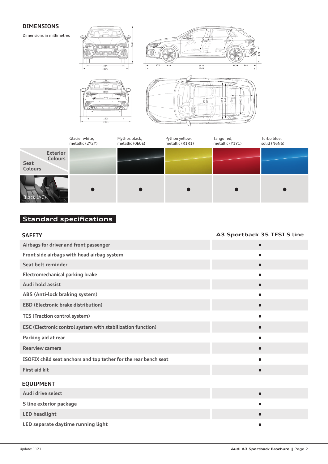#### **DIMENSIONS**

Dimensions in millimetres



|                                                             | Glacier white,<br>metallic (2Y2Y) | Mythos black,<br>metallic (OEOE) | Python yellow,<br>metallic (R1R1) | Tango red,<br>metallic (Y1Y1) | Turbo blue,<br>solid (N6N6) |
|-------------------------------------------------------------|-----------------------------------|----------------------------------|-----------------------------------|-------------------------------|-----------------------------|
| <b>Exterior</b><br><b>Colours</b><br>Seat<br><b>Colours</b> |                                   |                                  |                                   |                               |                             |
| Black (AC)                                                  |                                   |                                  |                                   |                               |                             |

### **Standard specifications**

| <b>SAFETY</b>                                                    | A3 Sportback 35 TFSI S line |
|------------------------------------------------------------------|-----------------------------|
| Airbags for driver and front passenger                           |                             |
| Front side airbags with head airbag system                       |                             |
| Seat belt reminder                                               |                             |
| <b>Electromechanical parking brake</b>                           |                             |
| Audi hold assist                                                 |                             |
| ABS (Anti-lock braking system)                                   |                             |
| <b>EBD (Electronic brake distribution)</b>                       |                             |
| <b>TCS (Traction control system)</b>                             |                             |
| ESC (Electronic control system with stabilization function)      |                             |
| Parking aid at rear                                              |                             |
| <b>Rearview camera</b>                                           |                             |
| ISOFIX child seat anchors and top tether for the rear bench seat |                             |
| <b>First aid kit</b>                                             |                             |
| <b>EQUIPMENT</b>                                                 |                             |
| Audi drive select                                                |                             |
| S line exterior package                                          |                             |
| <b>LED headlight</b>                                             |                             |
| LED separate daytime running light                               |                             |